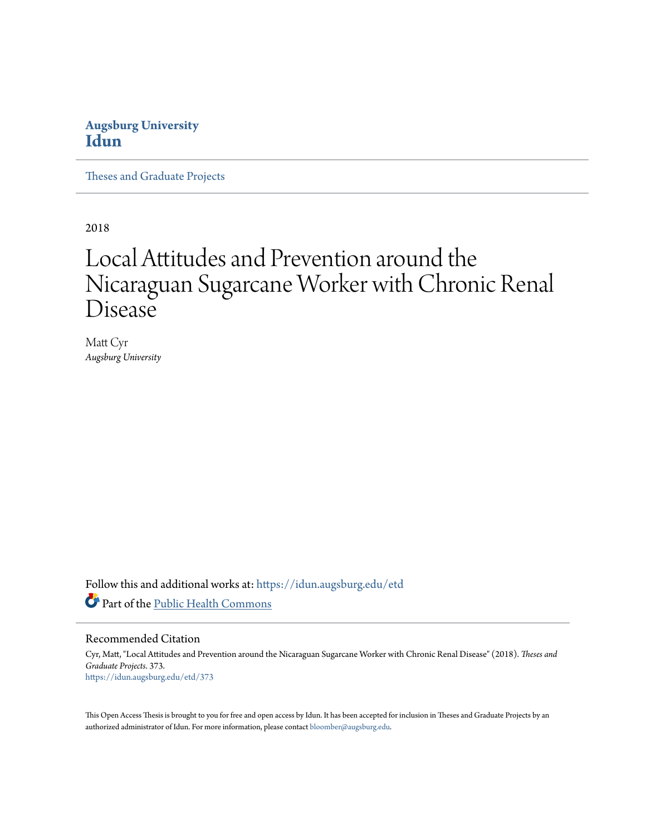### **Augsburg University [Idun](https://idun.augsburg.edu?utm_source=idun.augsburg.edu%2Fetd%2F373&utm_medium=PDF&utm_campaign=PDFCoverPages)**

[Theses and Graduate Projects](https://idun.augsburg.edu/etd?utm_source=idun.augsburg.edu%2Fetd%2F373&utm_medium=PDF&utm_campaign=PDFCoverPages)

2018

# Local Attitudes and Prevention around the Nicaraguan Sugarcane Worker with Chronic Renal Disease

Matt Cyr *Augsburg University*

Follow this and additional works at: [https://idun.augsburg.edu/etd](https://idun.augsburg.edu/etd?utm_source=idun.augsburg.edu%2Fetd%2F373&utm_medium=PDF&utm_campaign=PDFCoverPages) Part of the [Public Health Commons](http://network.bepress.com/hgg/discipline/738?utm_source=idun.augsburg.edu%2Fetd%2F373&utm_medium=PDF&utm_campaign=PDFCoverPages)

#### Recommended Citation

Cyr, Matt, "Local Attitudes and Prevention around the Nicaraguan Sugarcane Worker with Chronic Renal Disease" (2018). *Theses and Graduate Projects*. 373. [https://idun.augsburg.edu/etd/373](https://idun.augsburg.edu/etd/373?utm_source=idun.augsburg.edu%2Fetd%2F373&utm_medium=PDF&utm_campaign=PDFCoverPages)

This Open Access Thesis is brought to you for free and open access by Idun. It has been accepted for inclusion in Theses and Graduate Projects by an authorized administrator of Idun. For more information, please contact [bloomber@augsburg.edu.](mailto:bloomber@augsburg.edu)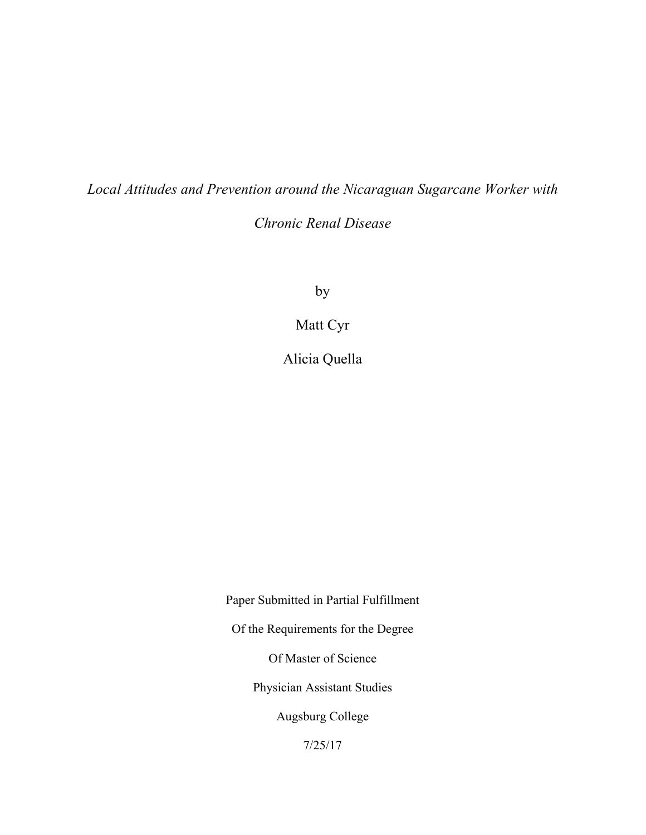*Local Attitudes and Prevention around the Nicaraguan Sugarcane Worker with* 

*Chronic Renal Disease*

by

Matt Cyr

Alicia Quella

Paper Submitted in Partial Fulfillment Of the Requirements for the Degree Of Master of Science Physician Assistant Studies Augsburg College

7/25/17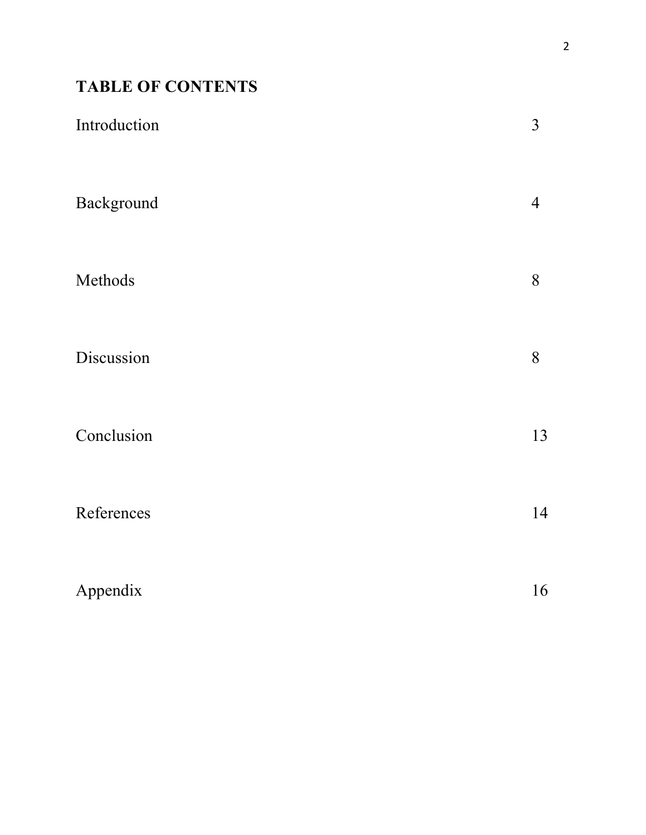## **TABLE OF CONTENTS**

| Introduction | $\mathfrak{Z}$ |
|--------------|----------------|
| Background   | $\overline{4}$ |
| Methods      | 8              |
| Discussion   | 8              |
| Conclusion   | 13             |
| References   | 14             |
| Appendix     | 16             |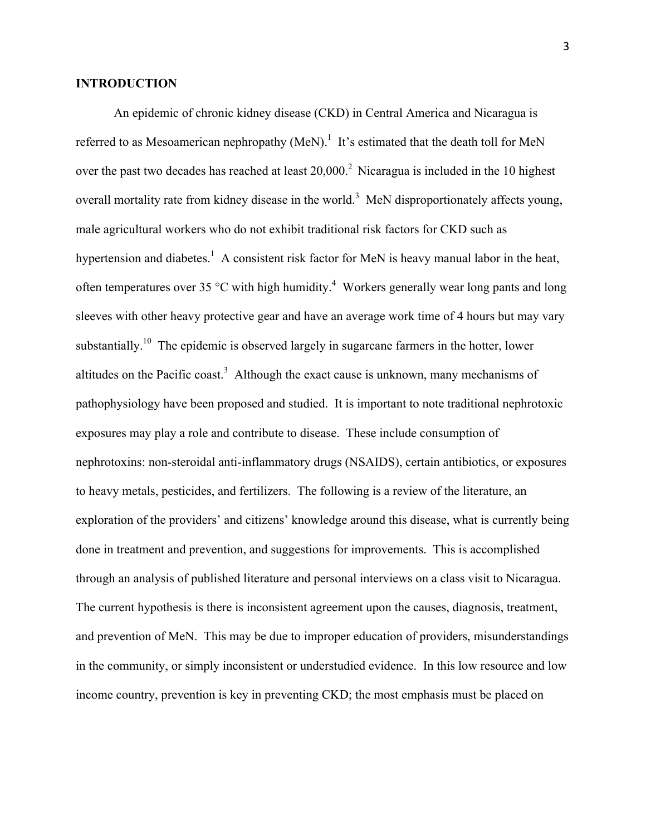#### **INTRODUCTION**

An epidemic of chronic kidney disease (CKD) in Central America and Nicaragua is referred to as Mesoamerican nephropathy (MeN).<sup>1</sup> It's estimated that the death toll for MeN over the past two decades has reached at least  $20,000<sup>2</sup>$  Nicaragua is included in the 10 highest overall mortality rate from kidney disease in the world.<sup>3</sup> MeN disproportionately affects young, male agricultural workers who do not exhibit traditional risk factors for CKD such as hypertension and diabetes.<sup>1</sup> A consistent risk factor for MeN is heavy manual labor in the heat, often temperatures over 35  $\degree$ C with high humidity.<sup>4</sup> Workers generally wear long pants and long sleeves with other heavy protective gear and have an average work time of 4 hours but may vary substantially.<sup>10</sup> The epidemic is observed largely in sugarcane farmers in the hotter, lower altitudes on the Pacific coast.<sup>3</sup> Although the exact cause is unknown, many mechanisms of pathophysiology have been proposed and studied. It is important to note traditional nephrotoxic exposures may play a role and contribute to disease. These include consumption of nephrotoxins: non-steroidal anti-inflammatory drugs (NSAIDS), certain antibiotics, or exposures to heavy metals, pesticides, and fertilizers. The following is a review of the literature, an exploration of the providers' and citizens' knowledge around this disease, what is currently being done in treatment and prevention, and suggestions for improvements. This is accomplished through an analysis of published literature and personal interviews on a class visit to Nicaragua. The current hypothesis is there is inconsistent agreement upon the causes, diagnosis, treatment, and prevention of MeN. This may be due to improper education of providers, misunderstandings in the community, or simply inconsistent or understudied evidence. In this low resource and low income country, prevention is key in preventing CKD; the most emphasis must be placed on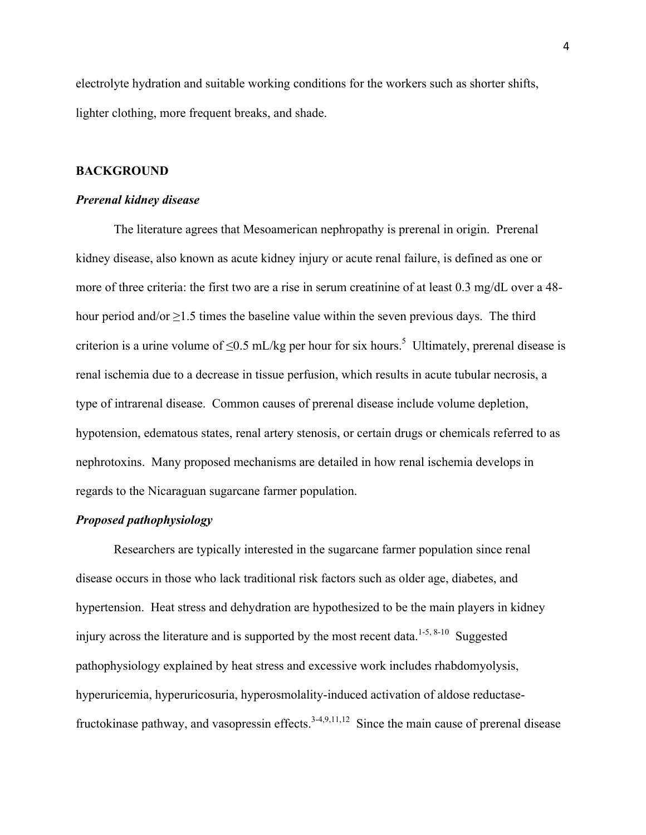electrolyte hydration and suitable working conditions for the workers such as shorter shifts, lighter clothing, more frequent breaks, and shade.

#### **BACKGROUND**

#### *Prerenal kidney disease*

The literature agrees that Mesoamerican nephropathy is prerenal in origin. Prerenal kidney disease, also known as acute kidney injury or acute renal failure, is defined as one or more of three criteria: the first two are a rise in serum creatinine of at least 0.3 mg/dL over a 48 hour period and/or  $\geq$ 1.5 times the baseline value within the seven previous days. The third criterion is a urine volume of  $\leq 0.5$  mL/kg per hour for six hours.<sup>5</sup> Ultimately, prerenal disease is renal ischemia due to a decrease in tissue perfusion, which results in acute tubular necrosis, a type of intrarenal disease. Common causes of prerenal disease include volume depletion, hypotension, edematous states, renal artery stenosis, or certain drugs or chemicals referred to as nephrotoxins. Many proposed mechanisms are detailed in how renal ischemia develops in regards to the Nicaraguan sugarcane farmer population.

#### *Proposed pathophysiology*

Researchers are typically interested in the sugarcane farmer population since renal disease occurs in those who lack traditional risk factors such as older age, diabetes, and hypertension. Heat stress and dehydration are hypothesized to be the main players in kidney injury across the literature and is supported by the most recent data.<sup>1-5, 8-10</sup> Suggested pathophysiology explained by heat stress and excessive work includes rhabdomyolysis, hyperuricemia, hyperuricosuria, hyperosmolality-induced activation of aldose reductasefructokinase pathway, and vasopressin effects.<sup>3-4,9,11,12</sup> Since the main cause of prerenal disease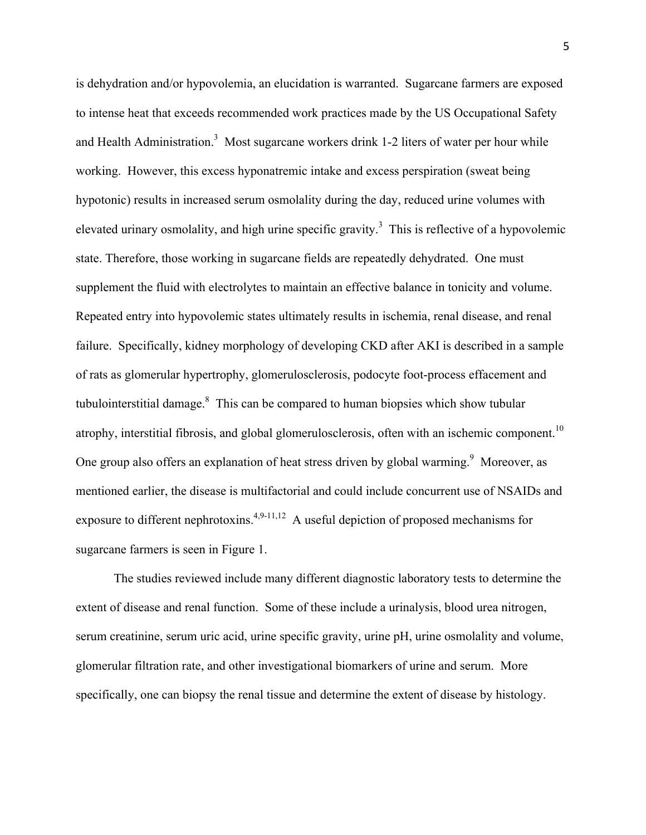is dehydration and/or hypovolemia, an elucidation is warranted. Sugarcane farmers are exposed to intense heat that exceeds recommended work practices made by the US Occupational Safety and Health Administration.<sup>3</sup> Most sugarcane workers drink 1-2 liters of water per hour while working. However, this excess hyponatremic intake and excess perspiration (sweat being hypotonic) results in increased serum osmolality during the day, reduced urine volumes with elevated urinary osmolality, and high urine specific gravity.<sup>3</sup> This is reflective of a hypovolemic state. Therefore, those working in sugarcane fields are repeatedly dehydrated. One must supplement the fluid with electrolytes to maintain an effective balance in tonicity and volume. Repeated entry into hypovolemic states ultimately results in ischemia, renal disease, and renal failure. Specifically, kidney morphology of developing CKD after AKI is described in a sample of rats as glomerular hypertrophy, glomerulosclerosis, podocyte foot-process effacement and tubulointerstitial damage. $8\text{ This can be compared to human biopsies which show tubular}$ atrophy, interstitial fibrosis, and global glomerulosclerosis, often with an ischemic component.<sup>10</sup> One group also offers an explanation of heat stress driven by global warming.<sup>9</sup> Moreover, as mentioned earlier, the disease is multifactorial and could include concurrent use of NSAIDs and exposure to different nephrotoxins.<sup>4,9-11,12</sup> A useful depiction of proposed mechanisms for sugarcane farmers is seen in Figure 1.

The studies reviewed include many different diagnostic laboratory tests to determine the extent of disease and renal function. Some of these include a urinalysis, blood urea nitrogen, serum creatinine, serum uric acid, urine specific gravity, urine pH, urine osmolality and volume, glomerular filtration rate, and other investigational biomarkers of urine and serum. More specifically, one can biopsy the renal tissue and determine the extent of disease by histology.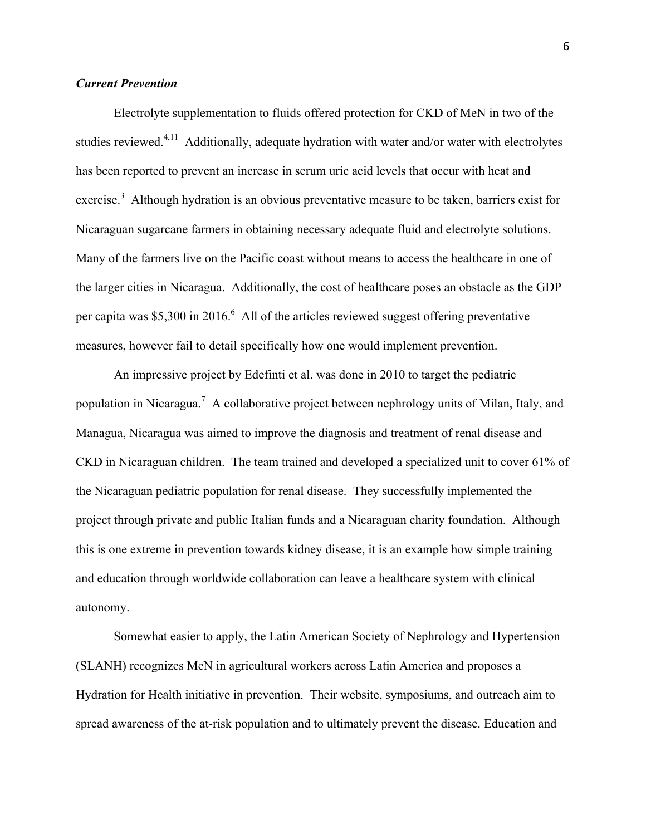#### *Current Prevention*

Electrolyte supplementation to fluids offered protection for CKD of MeN in two of the studies reviewed.<sup>4,11</sup> Additionally, adequate hydration with water and/or water with electrolytes has been reported to prevent an increase in serum uric acid levels that occur with heat and exercise.<sup>3</sup> Although hydration is an obvious preventative measure to be taken, barriers exist for Nicaraguan sugarcane farmers in obtaining necessary adequate fluid and electrolyte solutions. Many of the farmers live on the Pacific coast without means to access the healthcare in one of the larger cities in Nicaragua. Additionally, the cost of healthcare poses an obstacle as the GDP per capita was \$5,300 in 2016.<sup>6</sup> All of the articles reviewed suggest offering preventative measures, however fail to detail specifically how one would implement prevention.

An impressive project by Edefinti et al. was done in 2010 to target the pediatric population in Nicaragua.<sup>7</sup> A collaborative project between nephrology units of Milan, Italy, and Managua, Nicaragua was aimed to improve the diagnosis and treatment of renal disease and CKD in Nicaraguan children. The team trained and developed a specialized unit to cover 61% of the Nicaraguan pediatric population for renal disease. They successfully implemented the project through private and public Italian funds and a Nicaraguan charity foundation. Although this is one extreme in prevention towards kidney disease, it is an example how simple training and education through worldwide collaboration can leave a healthcare system with clinical autonomy.

Somewhat easier to apply, the Latin American Society of Nephrology and Hypertension (SLANH) recognizes MeN in agricultural workers across Latin America and proposes a Hydration for Health initiative in prevention. Their website, symposiums, and outreach aim to spread awareness of the at-risk population and to ultimately prevent the disease. Education and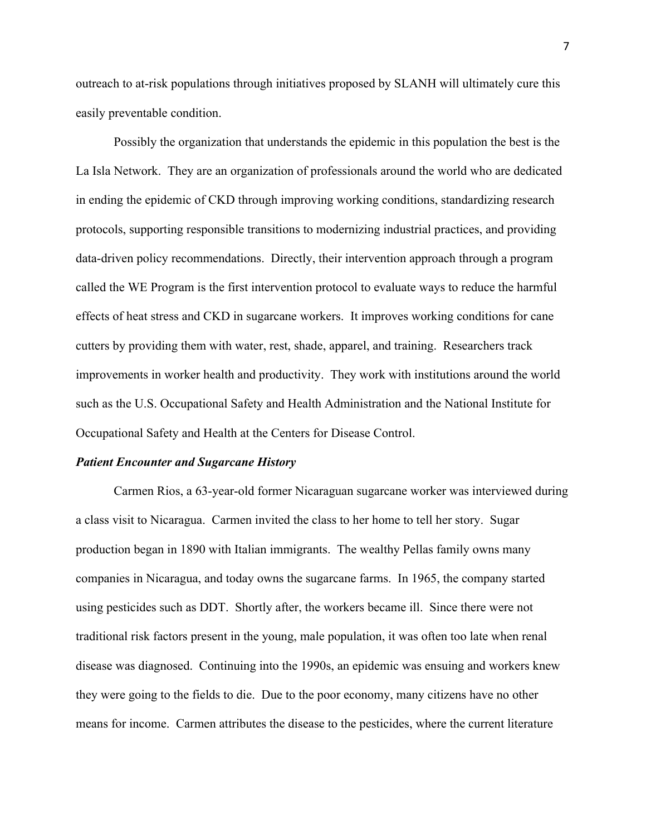outreach to at-risk populations through initiatives proposed by SLANH will ultimately cure this easily preventable condition.

Possibly the organization that understands the epidemic in this population the best is the La Isla Network. They are an organization of professionals around the world who are dedicated in ending the epidemic of CKD through improving working conditions, standardizing research protocols, supporting responsible transitions to modernizing industrial practices, and providing data-driven policy recommendations. Directly, their intervention approach through a program called the WE Program is the first intervention protocol to evaluate ways to reduce the harmful effects of heat stress and CKD in sugarcane workers. It improves working conditions for cane cutters by providing them with water, rest, shade, apparel, and training. Researchers track improvements in worker health and productivity. They work with institutions around the world such as the U.S. Occupational Safety and Health Administration and the National Institute for Occupational Safety and Health at the Centers for Disease Control.

#### *Patient Encounter and Sugarcane History*

Carmen Rios, a 63-year-old former Nicaraguan sugarcane worker was interviewed during a class visit to Nicaragua. Carmen invited the class to her home to tell her story. Sugar production began in 1890 with Italian immigrants. The wealthy Pellas family owns many companies in Nicaragua, and today owns the sugarcane farms. In 1965, the company started using pesticides such as DDT. Shortly after, the workers became ill. Since there were not traditional risk factors present in the young, male population, it was often too late when renal disease was diagnosed. Continuing into the 1990s, an epidemic was ensuing and workers knew they were going to the fields to die. Due to the poor economy, many citizens have no other means for income. Carmen attributes the disease to the pesticides, where the current literature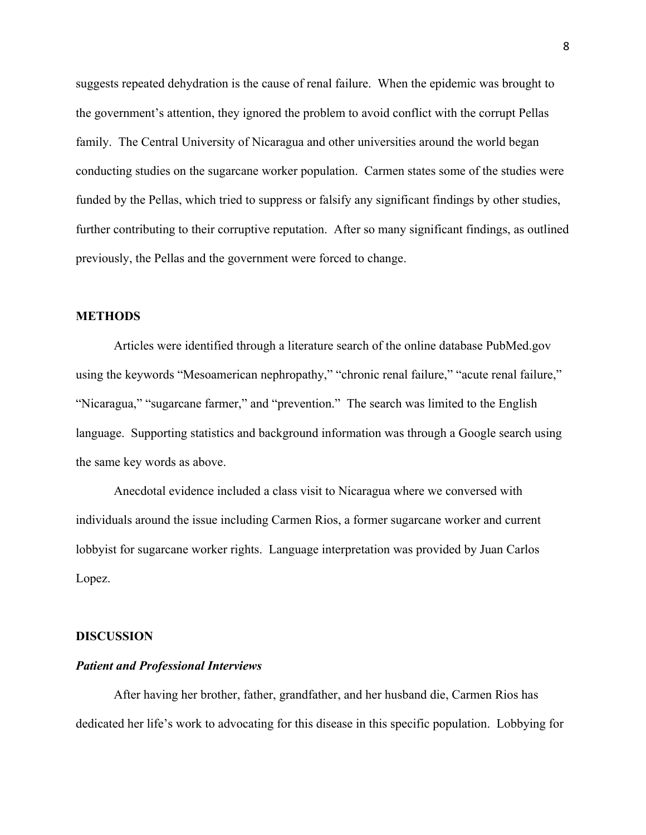suggests repeated dehydration is the cause of renal failure. When the epidemic was brought to the government's attention, they ignored the problem to avoid conflict with the corrupt Pellas family. The Central University of Nicaragua and other universities around the world began conducting studies on the sugarcane worker population. Carmen states some of the studies were funded by the Pellas, which tried to suppress or falsify any significant findings by other studies, further contributing to their corruptive reputation. After so many significant findings, as outlined previously, the Pellas and the government were forced to change.

#### **METHODS**

Articles were identified through a literature search of the online database PubMed.gov using the keywords "Mesoamerican nephropathy," "chronic renal failure," "acute renal failure," "Nicaragua," "sugarcane farmer," and "prevention." The search was limited to the English language. Supporting statistics and background information was through a Google search using the same key words as above.

Anecdotal evidence included a class visit to Nicaragua where we conversed with individuals around the issue including Carmen Rios, a former sugarcane worker and current lobbyist for sugarcane worker rights. Language interpretation was provided by Juan Carlos Lopez.

#### **DISCUSSION**

#### *Patient and Professional Interviews*

After having her brother, father, grandfather, and her husband die, Carmen Rios has dedicated her life's work to advocating for this disease in this specific population. Lobbying for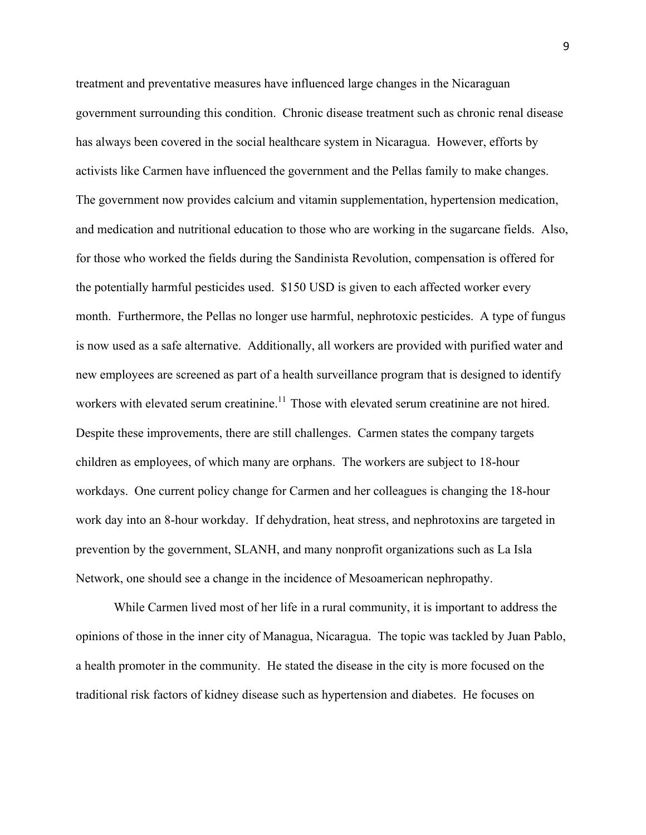treatment and preventative measures have influenced large changes in the Nicaraguan government surrounding this condition. Chronic disease treatment such as chronic renal disease has always been covered in the social healthcare system in Nicaragua. However, efforts by activists like Carmen have influenced the government and the Pellas family to make changes. The government now provides calcium and vitamin supplementation, hypertension medication, and medication and nutritional education to those who are working in the sugarcane fields. Also, for those who worked the fields during the Sandinista Revolution, compensation is offered for the potentially harmful pesticides used. \$150 USD is given to each affected worker every month. Furthermore, the Pellas no longer use harmful, nephrotoxic pesticides. A type of fungus is now used as a safe alternative. Additionally, all workers are provided with purified water and new employees are screened as part of a health surveillance program that is designed to identify workers with elevated serum creatinine.<sup>11</sup> Those with elevated serum creatinine are not hired. Despite these improvements, there are still challenges. Carmen states the company targets children as employees, of which many are orphans. The workers are subject to 18-hour workdays. One current policy change for Carmen and her colleagues is changing the 18-hour work day into an 8-hour workday. If dehydration, heat stress, and nephrotoxins are targeted in prevention by the government, SLANH, and many nonprofit organizations such as La Isla Network, one should see a change in the incidence of Mesoamerican nephropathy.

While Carmen lived most of her life in a rural community, it is important to address the opinions of those in the inner city of Managua, Nicaragua. The topic was tackled by Juan Pablo, a health promoter in the community. He stated the disease in the city is more focused on the traditional risk factors of kidney disease such as hypertension and diabetes. He focuses on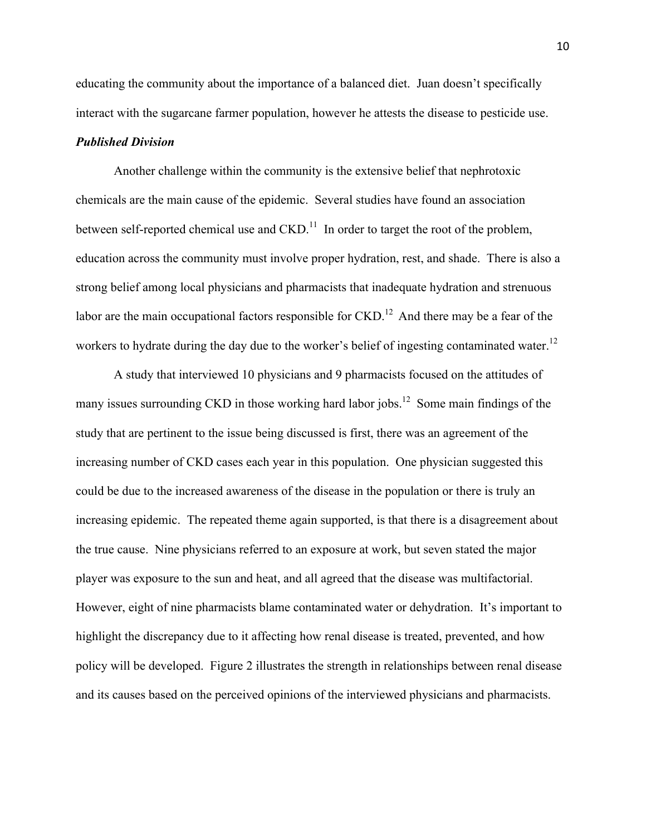educating the community about the importance of a balanced diet. Juan doesn't specifically interact with the sugarcane farmer population, however he attests the disease to pesticide use.

#### *Published Division*

Another challenge within the community is the extensive belief that nephrotoxic chemicals are the main cause of the epidemic. Several studies have found an association between self-reported chemical use and  $\text{CKD}^{11}$ . In order to target the root of the problem, education across the community must involve proper hydration, rest, and shade. There is also a strong belief among local physicians and pharmacists that inadequate hydration and strenuous labor are the main occupational factors responsible for  $\text{CKD}$ .<sup>12</sup> And there may be a fear of the workers to hydrate during the day due to the worker's belief of ingesting contaminated water.<sup>12</sup>

A study that interviewed 10 physicians and 9 pharmacists focused on the attitudes of many issues surrounding CKD in those working hard labor jobs.<sup>12</sup> Some main findings of the study that are pertinent to the issue being discussed is first, there was an agreement of the increasing number of CKD cases each year in this population. One physician suggested this could be due to the increased awareness of the disease in the population or there is truly an increasing epidemic. The repeated theme again supported, is that there is a disagreement about the true cause. Nine physicians referred to an exposure at work, but seven stated the major player was exposure to the sun and heat, and all agreed that the disease was multifactorial. However, eight of nine pharmacists blame contaminated water or dehydration. It's important to highlight the discrepancy due to it affecting how renal disease is treated, prevented, and how policy will be developed. Figure 2 illustrates the strength in relationships between renal disease and its causes based on the perceived opinions of the interviewed physicians and pharmacists.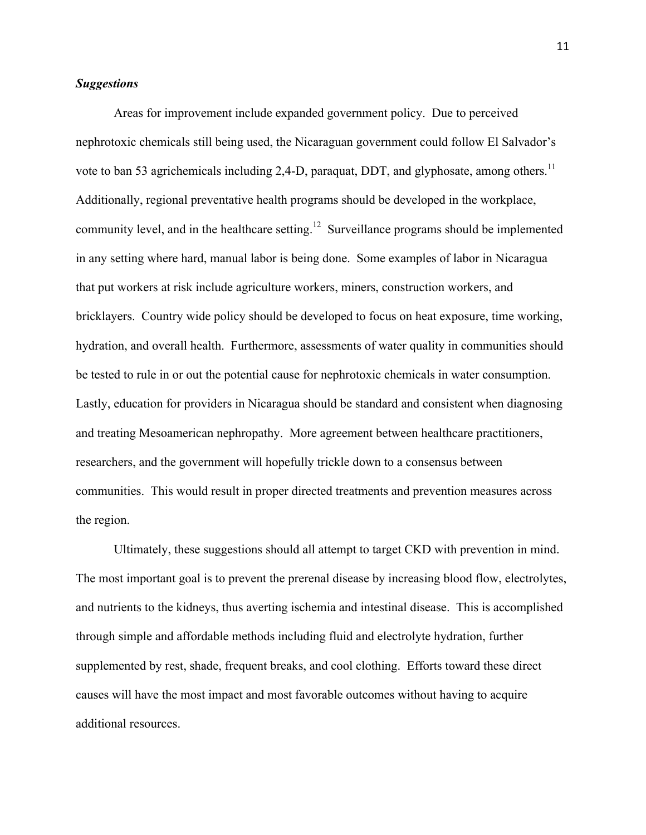#### *Suggestions*

Areas for improvement include expanded government policy. Due to perceived nephrotoxic chemicals still being used, the Nicaraguan government could follow El Salvador's vote to ban 53 agrichemicals including 2,4-D, paraquat, DDT, and glyphosate, among others.<sup>11</sup> Additionally, regional preventative health programs should be developed in the workplace, community level, and in the healthcare setting.<sup>12</sup> Surveillance programs should be implemented in any setting where hard, manual labor is being done. Some examples of labor in Nicaragua that put workers at risk include agriculture workers, miners, construction workers, and bricklayers. Country wide policy should be developed to focus on heat exposure, time working, hydration, and overall health. Furthermore, assessments of water quality in communities should be tested to rule in or out the potential cause for nephrotoxic chemicals in water consumption. Lastly, education for providers in Nicaragua should be standard and consistent when diagnosing and treating Mesoamerican nephropathy. More agreement between healthcare practitioners, researchers, and the government will hopefully trickle down to a consensus between communities. This would result in proper directed treatments and prevention measures across the region.

Ultimately, these suggestions should all attempt to target CKD with prevention in mind. The most important goal is to prevent the prerenal disease by increasing blood flow, electrolytes, and nutrients to the kidneys, thus averting ischemia and intestinal disease. This is accomplished through simple and affordable methods including fluid and electrolyte hydration, further supplemented by rest, shade, frequent breaks, and cool clothing. Efforts toward these direct causes will have the most impact and most favorable outcomes without having to acquire additional resources.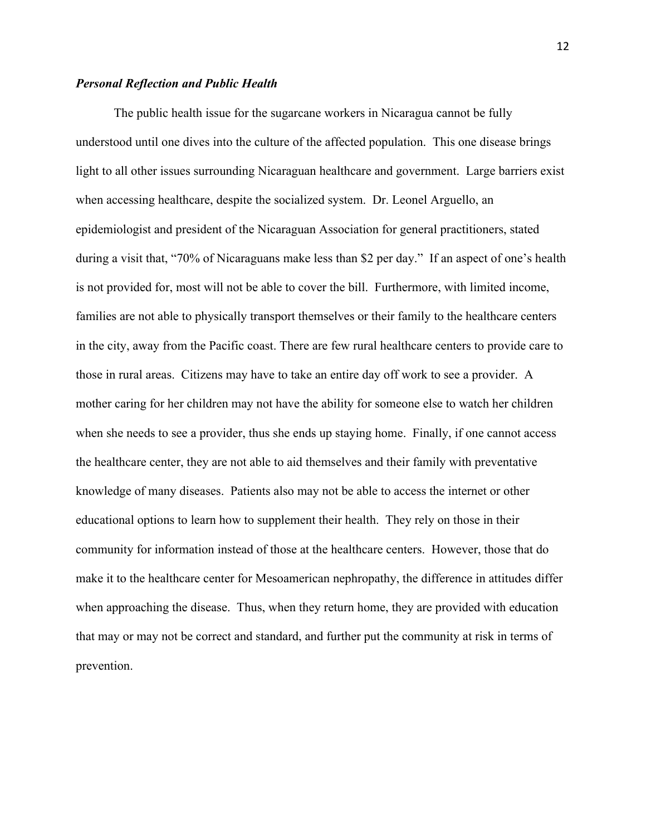#### *Personal Reflection and Public Health*

The public health issue for the sugarcane workers in Nicaragua cannot be fully understood until one dives into the culture of the affected population. This one disease brings light to all other issues surrounding Nicaraguan healthcare and government. Large barriers exist when accessing healthcare, despite the socialized system. Dr. Leonel Arguello, an epidemiologist and president of the Nicaraguan Association for general practitioners, stated during a visit that, "70% of Nicaraguans make less than \$2 per day." If an aspect of one's health is not provided for, most will not be able to cover the bill. Furthermore, with limited income, families are not able to physically transport themselves or their family to the healthcare centers in the city, away from the Pacific coast. There are few rural healthcare centers to provide care to those in rural areas. Citizens may have to take an entire day off work to see a provider. A mother caring for her children may not have the ability for someone else to watch her children when she needs to see a provider, thus she ends up staying home. Finally, if one cannot access the healthcare center, they are not able to aid themselves and their family with preventative knowledge of many diseases. Patients also may not be able to access the internet or other educational options to learn how to supplement their health. They rely on those in their community for information instead of those at the healthcare centers. However, those that do make it to the healthcare center for Mesoamerican nephropathy, the difference in attitudes differ when approaching the disease. Thus, when they return home, they are provided with education that may or may not be correct and standard, and further put the community at risk in terms of prevention.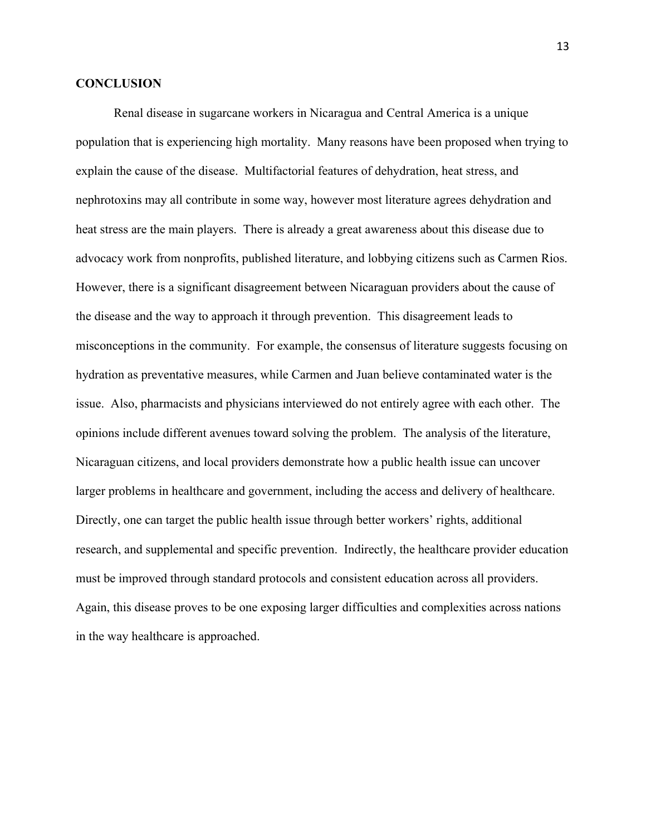#### **CONCLUSION**

Renal disease in sugarcane workers in Nicaragua and Central America is a unique population that is experiencing high mortality. Many reasons have been proposed when trying to explain the cause of the disease. Multifactorial features of dehydration, heat stress, and nephrotoxins may all contribute in some way, however most literature agrees dehydration and heat stress are the main players. There is already a great awareness about this disease due to advocacy work from nonprofits, published literature, and lobbying citizens such as Carmen Rios. However, there is a significant disagreement between Nicaraguan providers about the cause of the disease and the way to approach it through prevention. This disagreement leads to misconceptions in the community. For example, the consensus of literature suggests focusing on hydration as preventative measures, while Carmen and Juan believe contaminated water is the issue. Also, pharmacists and physicians interviewed do not entirely agree with each other. The opinions include different avenues toward solving the problem. The analysis of the literature, Nicaraguan citizens, and local providers demonstrate how a public health issue can uncover larger problems in healthcare and government, including the access and delivery of healthcare. Directly, one can target the public health issue through better workers' rights, additional research, and supplemental and specific prevention. Indirectly, the healthcare provider education must be improved through standard protocols and consistent education across all providers. Again, this disease proves to be one exposing larger difficulties and complexities across nations in the way healthcare is approached.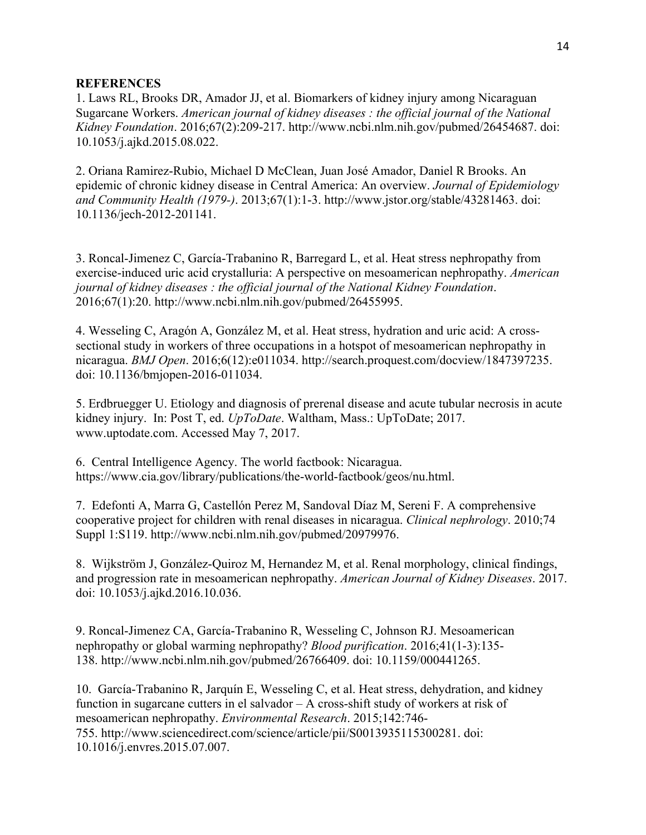#### **REFERENCES**

1. Laws RL, Brooks DR, Amador JJ, et al. Biomarkers of kidney injury among Nicaraguan Sugarcane Workers. *American journal of kidney diseases : the official journal of the National Kidney Foundation*. 2016;67(2):209-217. http://www.ncbi.nlm.nih.gov/pubmed/26454687. doi: 10.1053/j.ajkd.2015.08.022.

2. Oriana Ramirez-Rubio, Michael D McClean, Juan José Amador, Daniel R Brooks. An epidemic of chronic kidney disease in Central America: An overview. *Journal of Epidemiology and Community Health (1979-)*. 2013;67(1):1-3. http://www.jstor.org/stable/43281463. doi: 10.1136/jech-2012-201141.

3. Roncal-Jimenez C, García-Trabanino R, Barregard L, et al. Heat stress nephropathy from exercise-induced uric acid crystalluria: A perspective on mesoamerican nephropathy. *American journal of kidney diseases : the official journal of the National Kidney Foundation*. 2016;67(1):20. http://www.ncbi.nlm.nih.gov/pubmed/26455995.

4. Wesseling C, Aragón A, González M, et al. Heat stress, hydration and uric acid: A crosssectional study in workers of three occupations in a hotspot of mesoamerican nephropathy in nicaragua. *BMJ Open*. 2016;6(12):e011034. http://search.proquest.com/docview/1847397235. doi: 10.1136/bmjopen-2016-011034.

5. Erdbruegger U. Etiology and diagnosis of prerenal disease and acute tubular necrosis in acute kidney injury. In: Post T, ed. *UpToDate*. Waltham, Mass.: UpToDate; 2017. www.uptodate.com. Accessed May 7, 2017.

6. Central Intelligence Agency. The world factbook: Nicaragua. https://www.cia.gov/library/publications/the-world-factbook/geos/nu.html.

7. Edefonti A, Marra G, Castellón Perez M, Sandoval Díaz M, Sereni F. A comprehensive cooperative project for children with renal diseases in nicaragua. *Clinical nephrology*. 2010;74 Suppl 1:S119. http://www.ncbi.nlm.nih.gov/pubmed/20979976.

8. Wijkström J, González-Quiroz M, Hernandez M, et al. Renal morphology, clinical findings, and progression rate in mesoamerican nephropathy. *American Journal of Kidney Diseases*. 2017. doi: 10.1053/j.ajkd.2016.10.036.

9. Roncal-Jimenez CA, García-Trabanino R, Wesseling C, Johnson RJ. Mesoamerican nephropathy or global warming nephropathy? *Blood purification*. 2016;41(1-3):135- 138. http://www.ncbi.nlm.nih.gov/pubmed/26766409. doi: 10.1159/000441265.

10. García-Trabanino R, Jarquín E, Wesseling C, et al. Heat stress, dehydration, and kidney function in sugarcane cutters in el salvador – A cross-shift study of workers at risk of mesoamerican nephropathy. *Environmental Research*. 2015;142:746- 755. http://www.sciencedirect.com/science/article/pii/S0013935115300281. doi: 10.1016/j.envres.2015.07.007.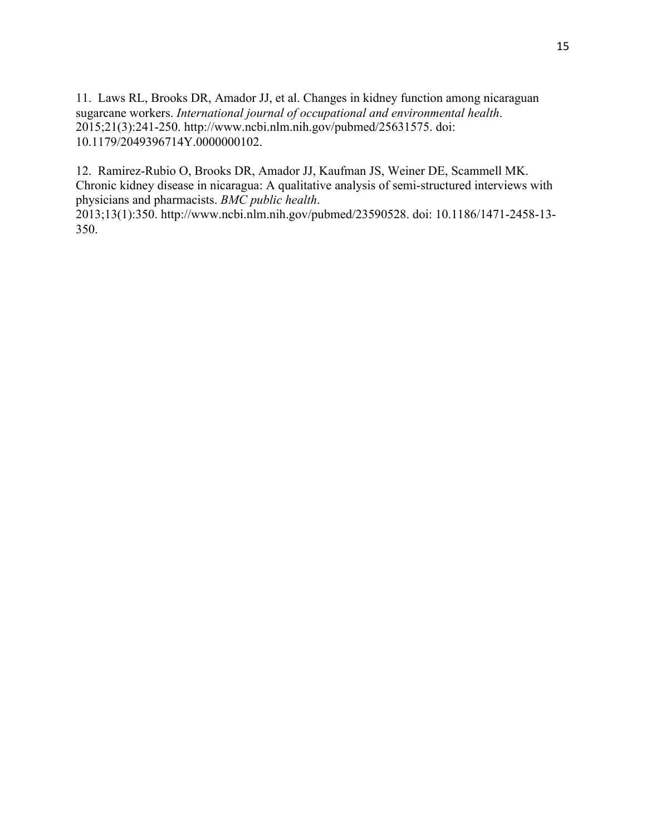11. Laws RL, Brooks DR, Amador JJ, et al. Changes in kidney function among nicaraguan sugarcane workers. *International journal of occupational and environmental health*. 2015;21(3):241-250. http://www.ncbi.nlm.nih.gov/pubmed/25631575. doi: 10.1179/2049396714Y.0000000102.

12. Ramirez-Rubio O, Brooks DR, Amador JJ, Kaufman JS, Weiner DE, Scammell MK. Chronic kidney disease in nicaragua: A qualitative analysis of semi-structured interviews with physicians and pharmacists. *BMC public health*.

2013;13(1):350. http://www.ncbi.nlm.nih.gov/pubmed/23590528. doi: 10.1186/1471-2458-13- 350.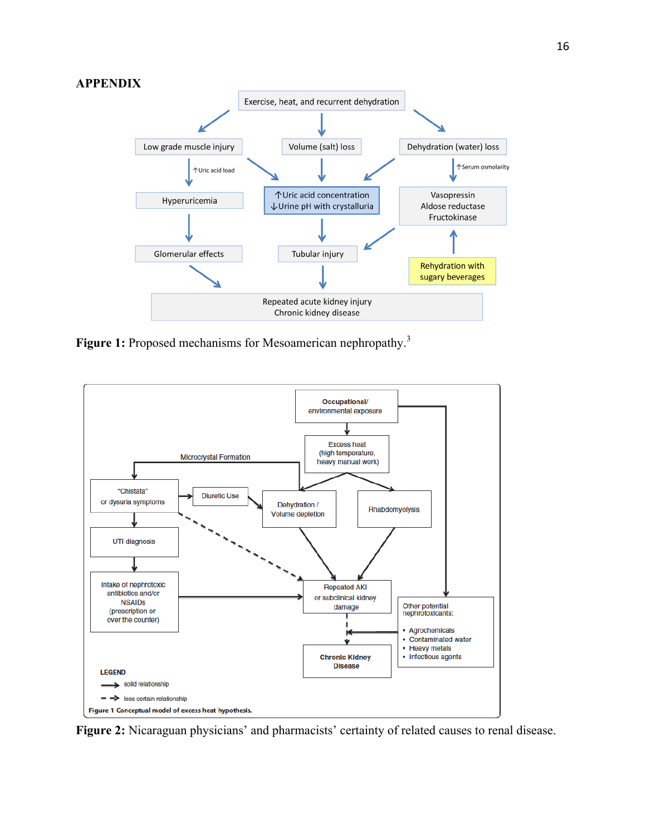#### **APPENDIX**



Figure 1: Proposed mechanisms for Mesoamerican nephropathy.<sup>3</sup>



**Figure 2:** Nicaraguan physicians' and pharmacists' certainty of related causes to renal disease.